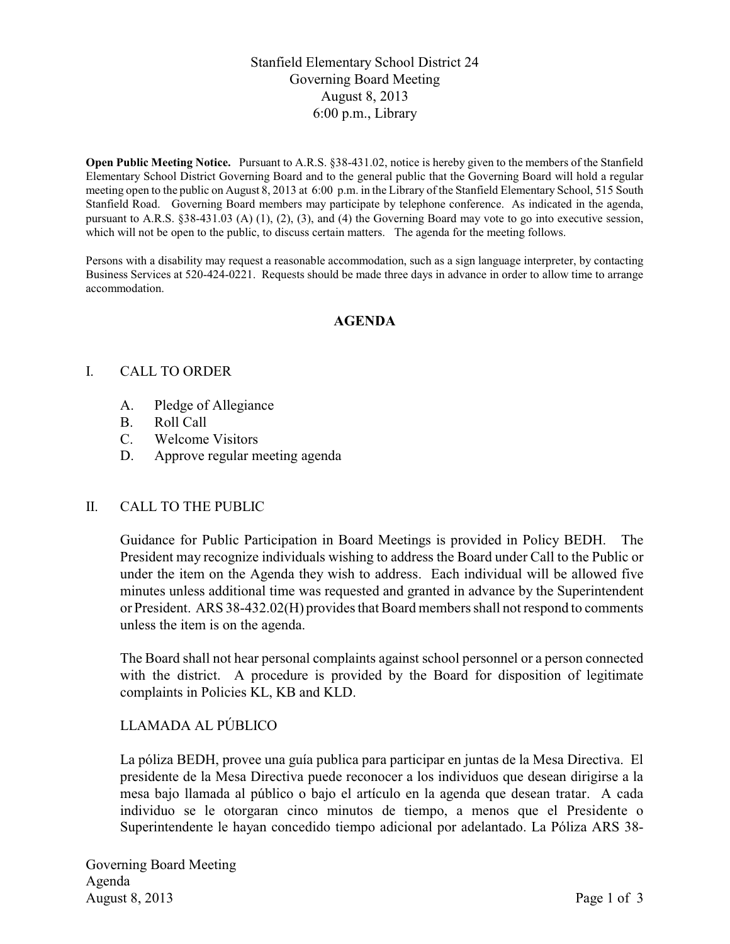# Stanfield Elementary School District 24 Governing Board Meeting August 8, 2013 6:00 p.m., Library

**Open Public Meeting Notice.** Pursuant to A.R.S. §38-431.02, notice is hereby given to the members of the Stanfield Elementary School District Governing Board and to the general public that the Governing Board will hold a regular meeting open to the public on August 8, 2013 at 6:00 p.m. in the Library of the Stanfield Elementary School, 515 South Stanfield Road. Governing Board members may participate by telephone conference. As indicated in the agenda, pursuant to A.R.S. §38-431.03 (A) (1), (2), (3), and (4) the Governing Board may vote to go into executive session, which will not be open to the public, to discuss certain matters. The agenda for the meeting follows.

Persons with a disability may request a reasonable accommodation, such as a sign language interpreter, by contacting Business Services at 520-424-0221. Requests should be made three days in advance in order to allow time to arrange accommodation.

#### **AGENDA**

#### I. CALL TO ORDER

- A. Pledge of Allegiance
- B. Roll Call
- C. Welcome Visitors
- D. Approve regular meeting agenda

#### II. CALL TO THE PUBLIC

Guidance for Public Participation in Board Meetings is provided in Policy BEDH. The President may recognize individuals wishing to address the Board under Call to the Public or under the item on the Agenda they wish to address. Each individual will be allowed five minutes unless additional time was requested and granted in advance by the Superintendent or President. ARS 38-432.02(H) provides that Board members shall not respond to comments unless the item is on the agenda.

The Board shall not hear personal complaints against school personnel or a person connected with the district. A procedure is provided by the Board for disposition of legitimate complaints in Policies KL, KB and KLD.

## LLAMADA AL PÚBLICO

La póliza BEDH, provee una guía publica para participar en juntas de la Mesa Directiva. El presidente de la Mesa Directiva puede reconocer a los individuos que desean dirigirse a la mesa bajo llamada al público o bajo el artículo en la agenda que desean tratar. A cada individuo se le otorgaran cinco minutos de tiempo, a menos que el Presidente o Superintendente le hayan concedido tiempo adicional por adelantado. La Póliza ARS 38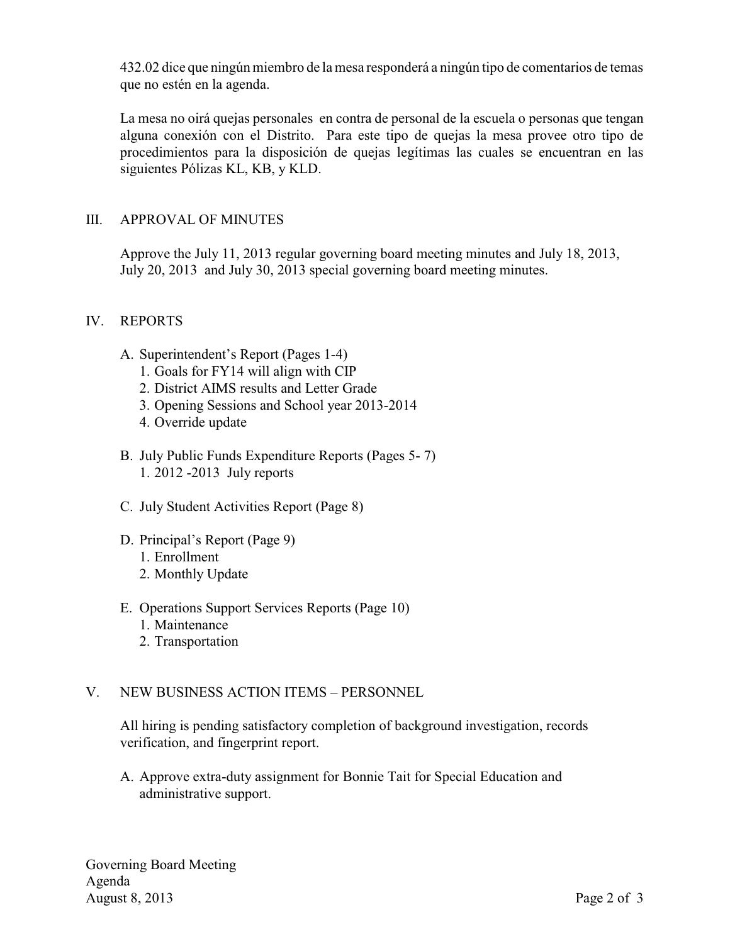432.02 dice que ningún miembro de la mesa responderá a ningún tipo de comentarios de temas que no estén en la agenda.

La mesa no oirá quejas personales en contra de personal de la escuela o personas que tengan alguna conexión con el Distrito. Para este tipo de quejas la mesa provee otro tipo de procedimientos para la disposición de quejas legítimas las cuales se encuentran en las siguientes Pólizas KL, KB, y KLD.

# III. APPROVAL OF MINUTES

Approve the July 11, 2013 regular governing board meeting minutes and July 18, 2013, July 20, 2013 and July 30, 2013 special governing board meeting minutes.

## IV. REPORTS

- A. Superintendent's Report (Pages 1-4)
	- 1. Goals for FY14 will align with CIP
	- 2. District AIMS results and Letter Grade
	- 3. Opening Sessions and School year 2013-2014
	- 4. Override update
- B. July Public Funds Expenditure Reports (Pages 5- 7) 1. 2012 -2013 July reports
- C. July Student Activities Report (Page 8)
- D. Principal's Report (Page 9) 1. Enrollment 2. Monthly Update
- E. Operations Support Services Reports (Page 10) 1. Maintenance
	- 2. Transportation

# V. NEW BUSINESS ACTION ITEMS – PERSONNEL

All hiring is pending satisfactory completion of background investigation, records verification, and fingerprint report.

A. Approve extra-duty assignment for Bonnie Tait for Special Education and administrative support.